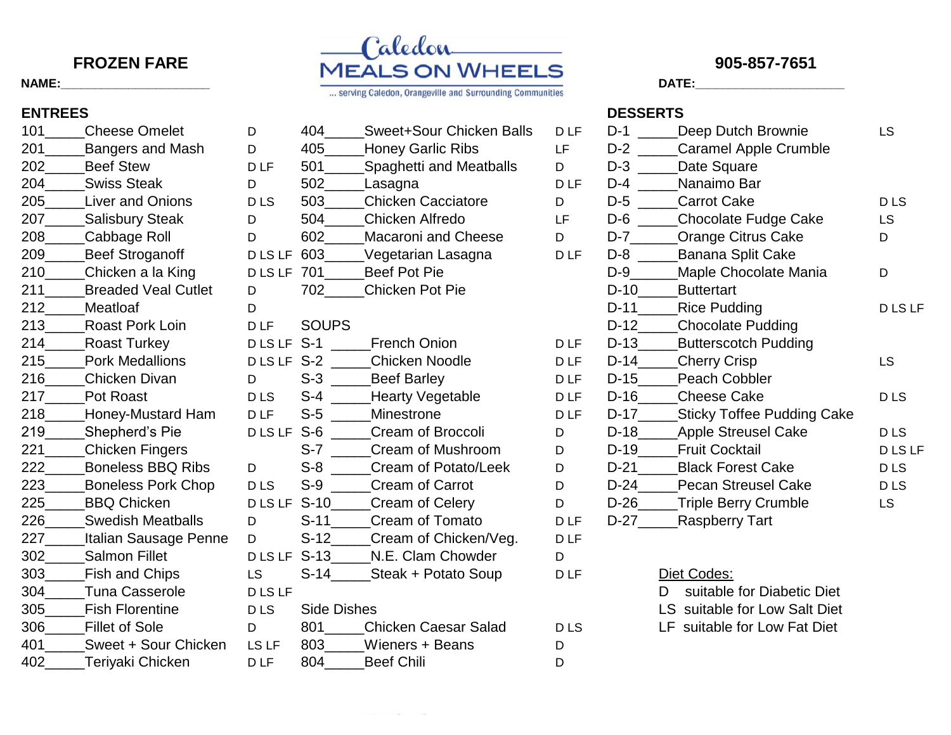| 101 -                   | Cheese Omelet                 |
|-------------------------|-------------------------------|
| $201$ $\_\_$            | <b>Bangers and Mash</b>       |
| 202                     | <b>Beef Stew</b>              |
| $204$ <sub>______</sub> | <b>Swiss Steak</b>            |
| 205                     | <b>Liver and Onions</b>       |
| 207                     | _Salisbury Steak              |
| 208                     | Cabbage Roll                  |
|                         | 209______Beef Stroganoff      |
| 210                     | _Chicken a la King            |
|                         | 211 Breaded Veal Cutlet       |
|                         | 212____Meatloaf               |
|                         | 213______Roast Pork Loin      |
|                         | Roast Turkey                  |
| 215                     | <b>Pork Medallions</b>        |
| 216                     | <b>Chicken Divan</b>          |
|                         | <b>Pot Roast</b>              |
|                         | 218_____Honey-Mustard Ham     |
| 219                     | Shepherd's Pie                |
| 221 —                   | Chicken Fingers               |
| 222______               | <b>Boneless BBQ Ribs</b>      |
|                         | 223 Boneless Pork Chop        |
| 225                     | <b>BBQ Chicken</b>            |
|                         | 226 Swedish Meatballs         |
|                         | 227_____Italian Sausage Penne |
|                         | 302 Salmon Fillet             |
| 303                     | Fish and Chips                |
| 304                     | <b>Tuna Casserole</b>         |
|                         | <b>Fish Florentine</b>        |
|                         | 306 Fillet of Sole            |
| 401 —                   | Sweet + Sour Chicken          |
| 402                     | Terivaki Chicken              |



| 101 | <b>Cheese Omelet</b>       | D               | 404                | <b>Sweet+Sour Chicken Balls</b> | <b>DLF</b> | $D-1$  | Deep Dutch Brownie              |
|-----|----------------------------|-----------------|--------------------|---------------------------------|------------|--------|---------------------------------|
| 201 | <b>Bangers and Mash</b>    | D               | 405                | <b>Honey Garlic Ribs</b>        | LF         | $D-2$  | Caramel Apple Crumble           |
| 202 | <b>Beef Stew</b>           | D <sub>LF</sub> | 501                | <b>Spaghetti and Meatballs</b>  | D          | $D-3$  | Date Square                     |
| 204 | <b>Swiss Steak</b>         | D               | 502                | Lasagna                         | <b>DLF</b> | $D-4$  | Nanaimo Bar                     |
| 205 | <b>Liver and Onions</b>    | <b>DLS</b>      | 503                | <b>Chicken Cacciatore</b>       | D          | $D-5$  | <b>Carrot Cake</b>              |
| 207 | <b>Salisbury Steak</b>     | D               | 504                | Chicken Alfredo                 | LF         | $D-6$  | Chocolate Fudge Cake            |
| 208 | Cabbage Roll               | D               | 602                | <b>Macaroni and Cheese</b>      | D          | $D-7$  | <b>Orange Citrus Cake</b>       |
| 209 | <b>Beef Stroganoff</b>     | D LS LF         | 603                | Vegetarian Lasagna              | <b>DLF</b> | $D-8$  | Banana Split Cake               |
| 210 | Chicken a la King          | <b>DLSLF</b>    | 701                | <b>Beef Pot Pie</b>             |            | $D-9$  | Maple Chocolate Mania           |
| 211 | <b>Breaded Veal Cutlet</b> | D               | 702                | <b>Chicken Pot Pie</b>          |            | $D-10$ | <b>Buttertart</b>               |
| 212 | Meatloaf                   | D               |                    |                                 |            | $D-11$ | <b>Rice Pudding</b>             |
| 213 | Roast Pork Loin            | D <sub>LF</sub> | <b>SOUPS</b>       |                                 |            | $D-12$ | <b>Chocolate Pudding</b>        |
| 214 | <b>Roast Turkey</b>        | <b>DLSLF</b>    | $S-1$              | <b>French Onion</b>             | <b>DLF</b> | $D-13$ | <b>Butterscotch Pudding</b>     |
| 215 | <b>Pork Medallions</b>     | DLSLF S-2       |                    | Chicken Noodle                  | <b>DLF</b> | $D-14$ | <b>Cherry Crisp</b>             |
| 216 | <b>Chicken Divan</b>       | D               | $S-3$              | <b>Beef Barley</b>              | <b>DLF</b> | $D-15$ | <b>Peach Cobbler</b>            |
| 217 | Pot Roast                  | <b>DLS</b>      | $S-4$              | <b>Hearty Vegetable</b>         | <b>DLF</b> | $D-16$ | <b>Cheese Cake</b>              |
| 218 | Honey-Mustard Ham          | <b>DLF</b>      | $S-5$              | Minestrone                      | <b>DLF</b> | $D-17$ | Sticky Toffee Pudding Cake      |
| 219 | Shepherd's Pie             | <b>DLSLF</b>    | $S-6$              | Cream of Broccoli               | D          | $D-18$ | <b>Apple Streusel Cake</b>      |
| 221 | Chicken Fingers            |                 | $S-7$              | Cream of Mushroom               | D          | $D-19$ | <b>Fruit Cocktail</b>           |
| 222 | <b>Boneless BBQ Ribs</b>   | D               | $S-8$              | Cream of Potato/Leek            | D          | $D-21$ | <b>Black Forest Cake</b>        |
| 223 | <b>Boneless Pork Chop</b>  | <b>DLS</b>      | $S-9$              | Cream of Carrot                 | D          | $D-24$ | <b>Pecan Streusel Cake</b>      |
| 225 | <b>BBQ Chicken</b>         | <b>DLSLF</b>    | $S-10$             | Cream of Celery                 | D          | $D-26$ | Triple Berry Crumble            |
| 226 | <b>Swedish Meatballs</b>   | D               | $S-11$             | <b>Cream of Tomato</b>          | <b>DLF</b> | $D-27$ | <b>Raspberry Tart</b>           |
| 227 | Italian Sausage Penne      | D               | $S-12$             | Cream of Chicken/Veg.           | <b>DLF</b> |        |                                 |
| 302 | <b>Salmon Fillet</b>       | <b>DLSLF</b>    | $S-13$             | N.E. Clam Chowder               | D          |        |                                 |
| 303 | <b>Fish and Chips</b>      | <b>LS</b>       | $S-14$             | Steak + Potato Soup             | <b>DLF</b> |        | Diet Codes:                     |
| 304 | <b>Tuna Casserole</b>      | <b>DLSLF</b>    |                    |                                 |            |        | suitable for Diabetic Diet<br>D |
| 305 | <b>Fish Florentine</b>     | <b>DLS</b>      | <b>Side Dishes</b> |                                 |            |        | LS suitable for Low Salt Diet   |
| 306 | <b>Fillet of Sole</b>      | D               | 801                | <b>Chicken Caesar Salad</b>     | <b>DLS</b> |        | LF suitable for Low Fat Diet    |
| 401 | Sweet + Sour Chicken       | LS LF           | 803                | Wieners + Beans                 | D          |        |                                 |
| 402 | Teriyaki Chicken           | D <sub>LF</sub> | 804                | <b>Beef Chili</b>               | D          |        |                                 |
|     |                            |                 |                    |                                 |            |        |                                 |

# **ENTREES DESSERTS**

| 101 | <b>Cheese Omelet</b>       | D               | 404          | Sweet+Sour Chicken Balls       | D <sub>LF</sub> | $D-1$  | Deep Dutch Brownie                | LS              |
|-----|----------------------------|-----------------|--------------|--------------------------------|-----------------|--------|-----------------------------------|-----------------|
| 201 | <b>Bangers and Mash</b>    | D               | 405          | <b>Honey Garlic Ribs</b>       | LF              | $D-2$  | <b>Caramel Apple Crumble</b>      |                 |
| 202 | <b>Beef Stew</b>           | D <sub>LF</sub> | 501          | <b>Spaghetti and Meatballs</b> | D               | $D-3$  | Date Square                       |                 |
| 204 | <b>Swiss Steak</b>         | D               | 502          | Lasagna                        | <b>DLF</b>      | $D-4$  | Nanaimo Bar                       |                 |
| 205 | Liver and Onions           | <b>DLS</b>      | 503          | <b>Chicken Cacciatore</b>      | D               | $D-5$  | <b>Carrot Cake</b>                | <b>DLS</b>      |
| 207 | <b>Salisbury Steak</b>     | D               | 504          | Chicken Alfredo                | LF              | $D-6$  | <b>Chocolate Fudge Cake</b>       | <b>LS</b>       |
| 208 | Cabbage Roll               | D               | 602          | <b>Macaroni and Cheese</b>     | D               | $D-7$  | <b>Orange Citrus Cake</b>         | D               |
| 209 | <b>Beef Stroganoff</b>     | <b>DLSLF</b>    | 603          | Vegetarian Lasagna             | D <sub>LF</sub> | $D-8$  | Banana Split Cake                 |                 |
| 210 | Chicken a la King          | D LS LF         | 701          | Beef Pot Pie                   |                 | D-9    | Maple Chocolate Mania             | D               |
| 211 | <b>Breaded Veal Cutlet</b> | D               | 702          | <b>Chicken Pot Pie</b>         |                 | $D-10$ | <b>Buttertart</b>                 |                 |
| 212 | Meatloaf                   | D               |              |                                |                 | $D-11$ | <b>Rice Pudding</b>               | D LS LF         |
| 213 | Roast Pork Loin            | <b>DLF</b>      | <b>SOUPS</b> |                                |                 | $D-12$ | <b>Chocolate Pudding</b>          |                 |
| 214 | <b>Roast Turkey</b>        | DLSLF S-1       |              | French Onion                   | D <sub>LF</sub> | $D-13$ | <b>Butterscotch Pudding</b>       |                 |
| 215 | <b>Pork Medallions</b>     | DLSLF S-2       |              | <b>Chicken Noodle</b>          | D <sub>LF</sub> | $D-14$ | <b>Cherry Crisp</b>               | <b>LS</b>       |
| 216 | <b>Chicken Divan</b>       | D               | $S-3$        | <b>Beef Barley</b>             | D <sub>LF</sub> | $D-15$ | Peach Cobbler                     |                 |
| 217 | Pot Roast                  | <b>DLS</b>      | $S-4$        | <b>Hearty Vegetable</b>        | D <sub>LF</sub> | $D-16$ | <b>Cheese Cake</b>                | D <sub>LS</sub> |
| 218 | Honey-Mustard Ham          | <b>DLF</b>      | $S-5$        | Minestrone                     | D <sub>LF</sub> | $D-17$ | <b>Sticky Toffee Pudding Cake</b> |                 |
| 219 | Shepherd's Pie             | D LS LF         | $S-6$        | Cream of Broccoli              | D               | $D-18$ | <b>Apple Streusel Cake</b>        | D <sub>LS</sub> |
| 221 | Chicken Fingers            |                 | $S-7$        | Cream of Mushroom              | D               | $D-19$ | <b>Fruit Cocktail</b>             | D LS LF         |
| 222 | <b>Boneless BBQ Ribs</b>   | D               | $S-8$        | Cream of Potato/Leek           | D               | $D-21$ | <b>Black Forest Cake</b>          | D LS            |
| 223 | <b>Boneless Pork Chop</b>  | <b>DLS</b>      | $S-9$        | Cream of Carrot                | D               | $D-24$ | <b>Pecan Streusel Cake</b>        | D <sub>LS</sub> |
| 225 | <b>BBQ Chicken</b>         | D LS LF         | $S-10$       | <b>Cream of Celery</b>         | D               | $D-26$ | <b>Triple Berry Crumble</b>       | <b>LS</b>       |
| 226 | <b>Swedish Meatballs</b>   | D               | $S-11$       | Cream of Tomato                | D <sub>LF</sub> | $D-27$ | <b>Raspberry Tart</b>             |                 |
| 227 | Italian Sausage Penne      | D               | $S-12$       | Cream of Chicken/Veg.          | D <sub>LF</sub> |        |                                   |                 |
| 302 | <b>Salmon Fillet</b>       | <b>DLSLF</b>    | $S-13$       | N.E. Clam Chowder              | D               |        |                                   |                 |
| 303 | <b>Fish and Chips</b>      | LS.             | $S-14$       | Steak + Potato Soup            | D <sub>LF</sub> |        | Diet Codes:                       |                 |
| 304 | Tuna Casserole             | PISIF           |              |                                |                 |        | suitable for Diabetic Diet<br>D.  |                 |